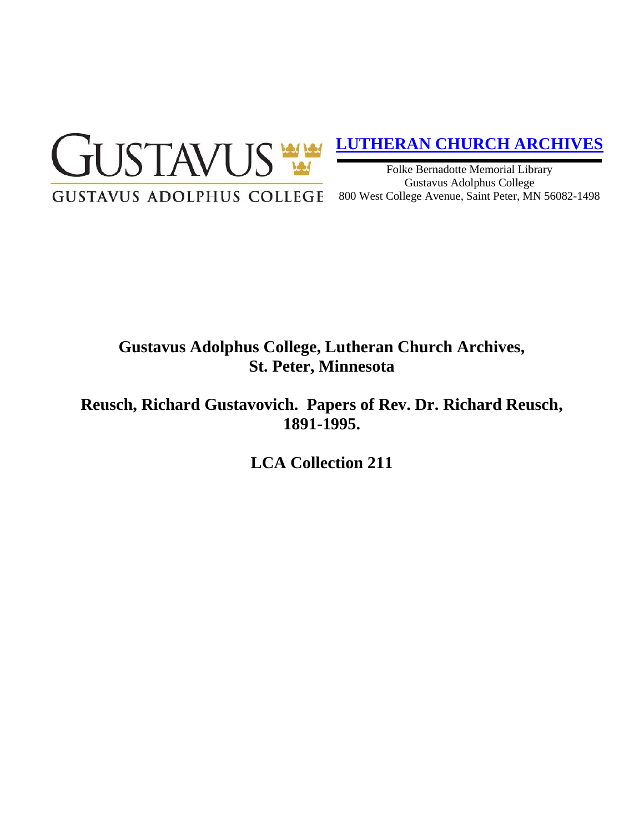

## **[LUTHERAN CHURCH ARCHIVES](http://gustavus.edu/academics/library/archives/)**

Folke Bernadotte Memorial Library Gustavus Adolphus College 800 West College Avenue, Saint Peter, MN 56082-1498

# **Gustavus Adolphus College, Lutheran Church Archives, St. Peter, Minnesota**

**Reusch, Richard Gustavovich. Papers of Rev. Dr. Richard Reusch, 1891-1995.**

**LCA Collection 211**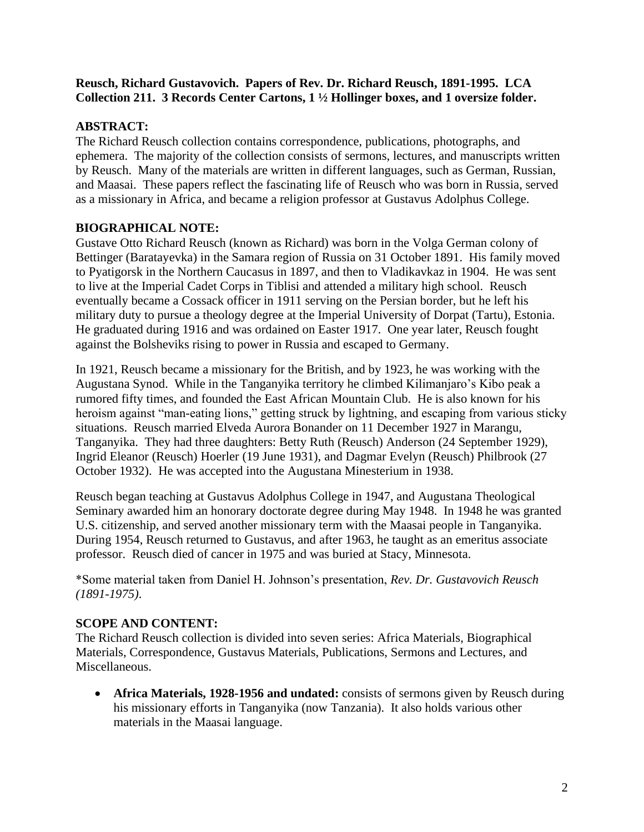#### **Reusch, Richard Gustavovich. Papers of Rev. Dr. Richard Reusch, 1891-1995. LCA Collection 211. 3 Records Center Cartons, 1 ½ Hollinger boxes, and 1 oversize folder.**

### **ABSTRACT:**

The Richard Reusch collection contains correspondence, publications, photographs, and ephemera. The majority of the collection consists of sermons, lectures, and manuscripts written by Reusch. Many of the materials are written in different languages, such as German, Russian, and Maasai. These papers reflect the fascinating life of Reusch who was born in Russia, served as a missionary in Africa, and became a religion professor at Gustavus Adolphus College.

### **BIOGRAPHICAL NOTE:**

Gustave Otto Richard Reusch (known as Richard) was born in the Volga German colony of Bettinger (Baratayevka) in the Samara region of Russia on 31 October 1891. His family moved to Pyatigorsk in the Northern Caucasus in 1897, and then to Vladikavkaz in 1904. He was sent to live at the Imperial Cadet Corps in Tiblisi and attended a military high school. Reusch eventually became a Cossack officer in 1911 serving on the Persian border, but he left his military duty to pursue a theology degree at the Imperial University of Dorpat (Tartu), Estonia. He graduated during 1916 and was ordained on Easter 1917. One year later, Reusch fought against the Bolsheviks rising to power in Russia and escaped to Germany.

In 1921, Reusch became a missionary for the British, and by 1923, he was working with the Augustana Synod. While in the Tanganyika territory he climbed Kilimanjaro's Kibo peak a rumored fifty times, and founded the East African Mountain Club. He is also known for his heroism against "man-eating lions," getting struck by lightning, and escaping from various sticky situations. Reusch married Elveda Aurora Bonander on 11 December 1927 in Marangu, Tanganyika. They had three daughters: Betty Ruth (Reusch) Anderson (24 September 1929), Ingrid Eleanor (Reusch) Hoerler (19 June 1931), and Dagmar Evelyn (Reusch) Philbrook (27 October 1932). He was accepted into the Augustana Minesterium in 1938.

Reusch began teaching at Gustavus Adolphus College in 1947, and Augustana Theological Seminary awarded him an honorary doctorate degree during May 1948. In 1948 he was granted U.S. citizenship, and served another missionary term with the Maasai people in Tanganyika. During 1954, Reusch returned to Gustavus, and after 1963, he taught as an emeritus associate professor. Reusch died of cancer in 1975 and was buried at Stacy, Minnesota.

\*Some material taken from Daniel H. Johnson's presentation, *Rev. Dr. Gustavovich Reusch (1891-1975)*.

### **SCOPE AND CONTENT:**

The Richard Reusch collection is divided into seven series: Africa Materials, Biographical Materials, Correspondence, Gustavus Materials, Publications, Sermons and Lectures, and Miscellaneous.

• **Africa Materials, 1928-1956 and undated:** consists of sermons given by Reusch during his missionary efforts in Tanganyika (now Tanzania). It also holds various other materials in the Maasai language.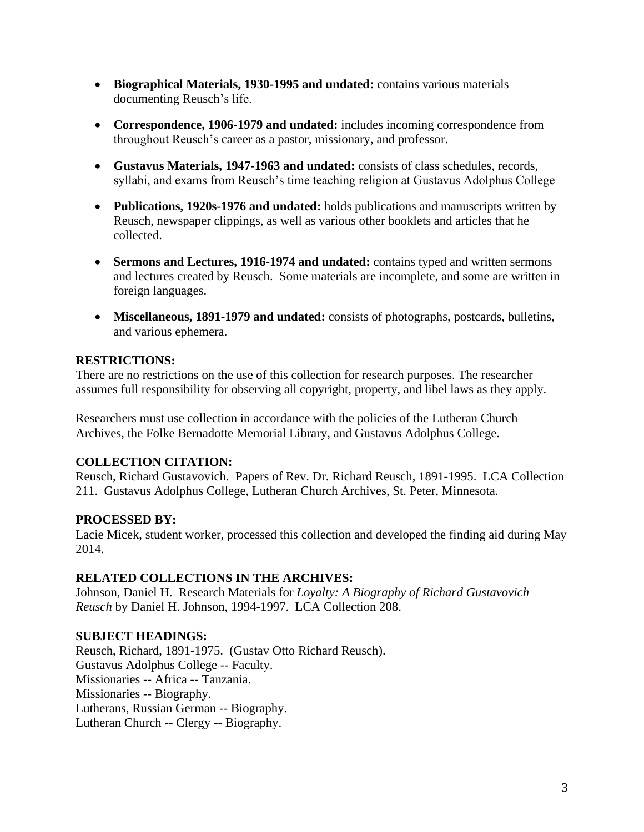- **Biographical Materials, 1930-1995 and undated:** contains various materials documenting Reusch's life.
- **Correspondence, 1906-1979 and undated:** includes incoming correspondence from throughout Reusch's career as a pastor, missionary, and professor.
- **Gustavus Materials, 1947-1963 and undated:** consists of class schedules, records, syllabi, and exams from Reusch's time teaching religion at Gustavus Adolphus College
- **Publications, 1920s-1976 and undated:** holds publications and manuscripts written by Reusch, newspaper clippings, as well as various other booklets and articles that he collected.
- **Sermons and Lectures, 1916-1974 and undated:** contains typed and written sermons and lectures created by Reusch. Some materials are incomplete, and some are written in foreign languages.
- **Miscellaneous, 1891-1979 and undated:** consists of photographs, postcards, bulletins, and various ephemera.

### **RESTRICTIONS:**

There are no restrictions on the use of this collection for research purposes. The researcher assumes full responsibility for observing all copyright, property, and libel laws as they apply.

Researchers must use collection in accordance with the policies of the Lutheran Church Archives, the Folke Bernadotte Memorial Library, and Gustavus Adolphus College.

### **COLLECTION CITATION:**

Reusch, Richard Gustavovich. Papers of Rev. Dr. Richard Reusch, 1891-1995. LCA Collection 211. Gustavus Adolphus College, Lutheran Church Archives, St. Peter, Minnesota.

### **PROCESSED BY:**

Lacie Micek, student worker, processed this collection and developed the finding aid during May 2014.

#### **RELATED COLLECTIONS IN THE ARCHIVES:**

Johnson, Daniel H. Research Materials for *Loyalty: A Biography of Richard Gustavovich Reusch* by Daniel H. Johnson, 1994-1997. LCA Collection 208.

### **SUBJECT HEADINGS:**

Reusch, Richard, 1891-1975. (Gustav Otto Richard Reusch). Gustavus Adolphus College -- Faculty. Missionaries -- Africa -- Tanzania. Missionaries -- Biography. Lutherans, Russian German -- Biography. Lutheran Church -- Clergy -- Biography.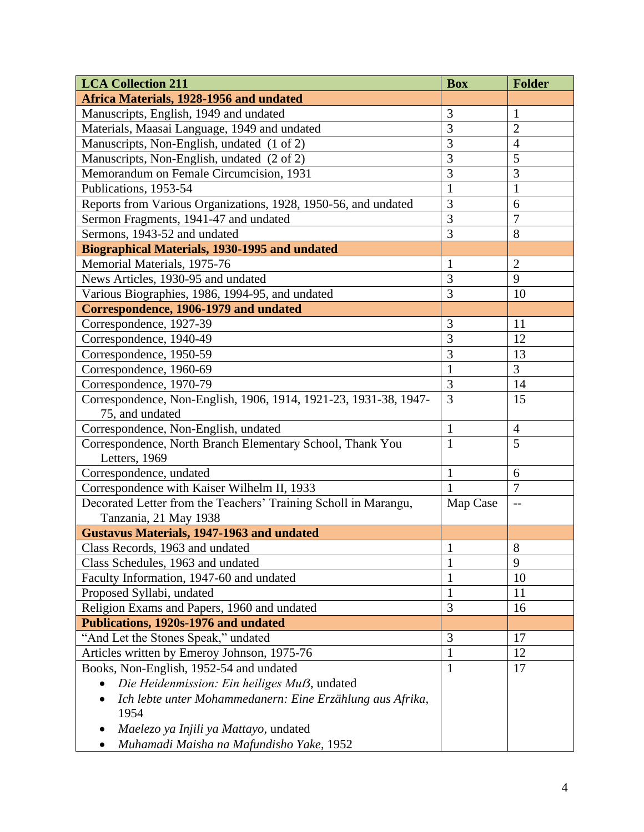| <b>LCA Collection 211</b>                                        | <b>Box</b>     | <b>Folder</b>  |
|------------------------------------------------------------------|----------------|----------------|
| Africa Materials, 1928-1956 and undated                          |                |                |
| Manuscripts, English, 1949 and undated                           | 3              | 1              |
| Materials, Maasai Language, 1949 and undated                     | 3              | $\overline{2}$ |
| Manuscripts, Non-English, undated (1 of 2)                       | $\overline{3}$ | $\overline{4}$ |
| Manuscripts, Non-English, undated (2 of 2)                       | $\overline{3}$ | 5              |
| Memorandum on Female Circumcision, 1931                          | 3              | 3              |
| Publications, 1953-54                                            | $\mathbf{1}$   | $\mathbf{1}$   |
| Reports from Various Organizations, 1928, 1950-56, and undated   | 3              | 6              |
| Sermon Fragments, 1941-47 and undated                            | 3              | $\overline{7}$ |
| Sermons, 1943-52 and undated                                     | 3              | 8              |
| <b>Biographical Materials, 1930-1995 and undated</b>             |                |                |
| Memorial Materials, 1975-76                                      | $\mathbf{1}$   | $\overline{2}$ |
| News Articles, 1930-95 and undated                               | 3              | 9              |
| Various Biographies, 1986, 1994-95, and undated                  | 3              | 10             |
| Correspondence, 1906-1979 and undated                            |                |                |
| Correspondence, 1927-39                                          | 3              | 11             |
| Correspondence, 1940-49                                          | 3              | 12             |
| Correspondence, 1950-59                                          | 3              | 13             |
| Correspondence, 1960-69                                          | $\mathbf{1}$   | $\overline{3}$ |
| Correspondence, 1970-79                                          | 3              | 14             |
| Correspondence, Non-English, 1906, 1914, 1921-23, 1931-38, 1947- | 3              | 15             |
| 75, and undated                                                  |                |                |
| Correspondence, Non-English, undated                             | $\mathbf{1}$   | $\overline{4}$ |
| Correspondence, North Branch Elementary School, Thank You        | $\mathbf{1}$   | 5              |
| Letters, 1969                                                    |                |                |
| Correspondence, undated                                          | $\mathbf{1}$   | 6              |
| Correspondence with Kaiser Wilhelm II, 1933                      | 1              | $\overline{7}$ |
| Decorated Letter from the Teachers' Training Scholl in Marangu,  | Map Case       | $-$            |
| Tanzania, 21 May 1938                                            |                |                |
| <b>Gustavus Materials, 1947-1963 and undated</b>                 |                |                |
| Class Records, 1963 and undated                                  | $\mathbf{1}$   | $\,8\,$        |
| Class Schedules, 1963 and undated                                | $\mathbf{1}$   | 9              |
| Faculty Information, 1947-60 and undated                         | $\mathbf{1}$   | 10             |
| Proposed Syllabi, undated                                        | 1              | 11             |
| Religion Exams and Papers, 1960 and undated                      | 3              | 16             |
| Publications, 1920s-1976 and undated                             |                |                |
| "And Let the Stones Speak," undated                              | 3              | 17             |
| Articles written by Emeroy Johnson, 1975-76                      | $\mathbf{1}$   | 12             |
| Books, Non-English, 1952-54 and undated                          | $\mathbf{1}$   | 17             |
| Die Heidenmission: Ein heiliges Muß, undated                     |                |                |
| Ich lebte unter Mohammedanern: Eine Erzählung aus Afrika,        |                |                |
| 1954                                                             |                |                |
| Maelezo ya Injili ya Mattayo, undated                            |                |                |
| Muhamadi Maisha na Mafundisho Yake, 1952                         |                |                |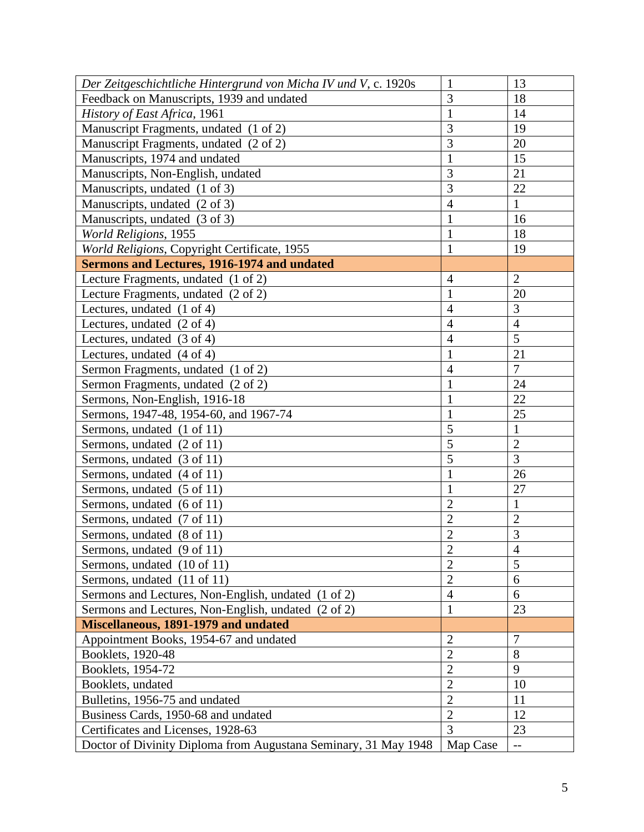| Der Zeitgeschichtliche Hintergrund von Micha IV und V, c. 1920s | $\mathbf{1}$   | 13             |
|-----------------------------------------------------------------|----------------|----------------|
| Feedback on Manuscripts, 1939 and undated                       | 3              | 18             |
| History of East Africa, 1961                                    | $\mathbf{1}$   | 14             |
| Manuscript Fragments, undated (1 of 2)                          | 3              | 19             |
| Manuscript Fragments, undated (2 of 2)                          | 3              | 20             |
| Manuscripts, 1974 and undated                                   | $\mathbf{1}$   | 15             |
| Manuscripts, Non-English, undated                               | $\overline{3}$ | 21             |
| Manuscripts, undated (1 of 3)                                   | $\overline{3}$ | 22             |
| Manuscripts, undated (2 of 3)                                   | $\overline{4}$ | $\mathbf{1}$   |
| Manuscripts, undated (3 of 3)                                   | $\mathbf{1}$   | 16             |
| World Religions, 1955                                           | $\mathbf{1}$   | 18             |
| World Religions, Copyright Certificate, 1955                    | $\mathbf{1}$   | 19             |
| <b>Sermons and Lectures, 1916-1974 and undated</b>              |                |                |
| Lecture Fragments, undated (1 of 2)                             | $\overline{4}$ | $\overline{2}$ |
| Lecture Fragments, undated (2 of 2)                             | $\mathbf{1}$   | 20             |
| Lectures, undated (1 of 4)                                      | $\overline{4}$ | 3              |
| Lectures, undated $(2 \text{ of } 4)$                           | $\overline{4}$ | $\overline{4}$ |
| Lectures, undated $(3 \text{ of } 4)$                           | $\overline{4}$ | 5              |
| Lectures, undated $(4 \text{ of } 4)$                           | $\mathbf{1}$   | 21             |
| Sermon Fragments, undated (1 of 2)                              | $\overline{4}$ | $\overline{7}$ |
| Sermon Fragments, undated (2 of 2)                              | $\mathbf{1}$   | 24             |
| Sermons, Non-English, 1916-18                                   | $\mathbf{1}$   | 22             |
| Sermons, 1947-48, 1954-60, and 1967-74                          | $\mathbf{1}$   | 25             |
| Sermons, undated (1 of 11)                                      | $\overline{5}$ | $\mathbf{1}$   |
| Sermons, undated (2 of 11)                                      | $\overline{5}$ | $\overline{2}$ |
| Sermons, undated (3 of 11)                                      | 5              | 3              |
| Sermons, undated (4 of 11)                                      | 1              | 26             |
| Sermons, undated (5 of 11)                                      | $\mathbf{1}$   | 27             |
| Sermons, undated (6 of 11)                                      | $\overline{2}$ | $\mathbf{1}$   |
| Sermons, undated (7 of 11)                                      | $\overline{2}$ | $\overline{2}$ |
| Sermons, undated (8 of 11)                                      | $\overline{2}$ | 3              |
| Sermons, undated (9 of 11)                                      | $\overline{2}$ | $\overline{4}$ |
| Sermons, undated (10 of 11)                                     | $\overline{2}$ | 5              |
| Sermons, undated (11 of 11)                                     | $\overline{2}$ | 6              |
| Sermons and Lectures, Non-English, undated (1 of 2)             | $\overline{4}$ | 6              |
| Sermons and Lectures, Non-English, undated (2 of 2)             | $\mathbf{1}$   | 23             |
| Miscellaneous, 1891-1979 and undated                            |                |                |
| Appointment Books, 1954-67 and undated                          | $\overline{2}$ | $\overline{7}$ |
| Booklets, 1920-48                                               | $\overline{2}$ | 8              |
| Booklets, 1954-72                                               | $\overline{2}$ | 9              |
| Booklets, undated                                               | $\overline{2}$ | 10             |
| Bulletins, 1956-75 and undated                                  | $\overline{2}$ | 11             |
| Business Cards, 1950-68 and undated                             | $\overline{2}$ | 12             |
| Certificates and Licenses, 1928-63                              | $\overline{3}$ | 23             |
| Doctor of Divinity Diploma from Augustana Seminary, 31 May 1948 | Map Case       | $- -$          |